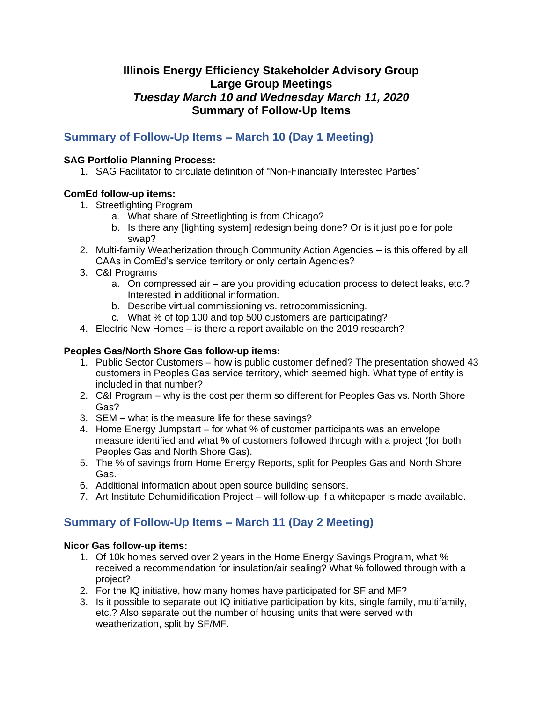# **Illinois Energy Efficiency Stakeholder Advisory Group Large Group Meetings** *Tuesday March 10 and Wednesday March 11, 2020* **Summary of Follow-Up Items**

# **Summary of Follow-Up Items – March 10 (Day 1 Meeting)**

#### **SAG Portfolio Planning Process:**

1. SAG Facilitator to circulate definition of "Non-Financially Interested Parties"

## **ComEd follow-up items:**

- 1. Streetlighting Program
	- a. What share of Streetlighting is from Chicago?
	- b. Is there any [lighting system] redesign being done? Or is it just pole for pole swap?
- 2. Multi-family Weatherization through Community Action Agencies is this offered by all CAAs in ComEd's service territory or only certain Agencies?
- 3. C&I Programs
	- a. On compressed air are you providing education process to detect leaks, etc.? Interested in additional information.
	- b. Describe virtual commissioning vs. retrocommissioning.
	- c. What % of top 100 and top 500 customers are participating?
- 4. Electric New Homes is there a report available on the 2019 research?

### **Peoples Gas/North Shore Gas follow-up items:**

- 1. Public Sector Customers how is public customer defined? The presentation showed 43 customers in Peoples Gas service territory, which seemed high. What type of entity is included in that number?
- 2. C&I Program why is the cost per therm so different for Peoples Gas vs. North Shore Gas?
- 3. SEM what is the measure life for these savings?
- 4. Home Energy Jumpstart for what % of customer participants was an envelope measure identified and what % of customers followed through with a project (for both Peoples Gas and North Shore Gas).
- 5. The % of savings from Home Energy Reports, split for Peoples Gas and North Shore Gas.
- 6. Additional information about open source building sensors.
- 7. Art Institute Dehumidification Project will follow-up if a whitepaper is made available.

# **Summary of Follow-Up Items – March 11 (Day 2 Meeting)**

#### **Nicor Gas follow-up items:**

- 1. Of 10k homes served over 2 years in the Home Energy Savings Program, what % received a recommendation for insulation/air sealing? What % followed through with a project?
- 2. For the IQ initiative, how many homes have participated for SF and MF?
- 3. Is it possible to separate out IQ initiative participation by kits, single family, multifamily, etc.? Also separate out the number of housing units that were served with weatherization, split by SF/MF.